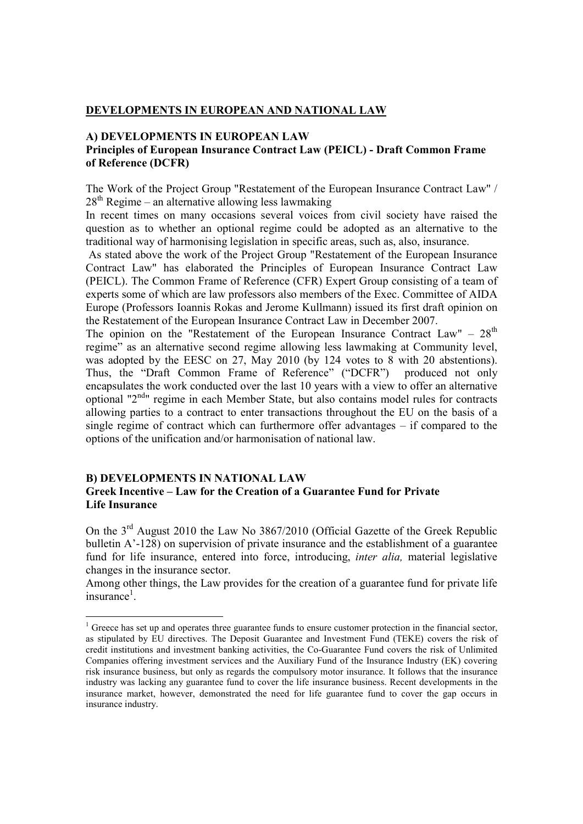## **DEVELOPMENTS IN EUROPEAN AND NATIONAL LAW**

## **A) DEVELOPMENTS IN EUROPEAN LAW Principles of European Insurance Contract Law (PEICL) - Draft Common Frame of Reference (DCFR)**

The Work of the Project Group "Restatement of the European Insurance Contract Law" /  $28<sup>th</sup>$  Regime – an alternative allowing less lawmaking

In recent times on many occasions several voices from civil society have raised the question as to whether an optional regime could be adopted as an alternative to the traditional way of harmonising legislation in specific areas, such as, also, insurance.

 As stated above the work of the Project Group "Restatement of the European Insurance Contract Law" has elaborated the Principles of European Insurance Contract Law (PEICL). The Common Frame of Reference (CFR) Expert Group consisting of a team of experts some of which are law professors also members of the Exec. Committee of AIDA Europe (Professors Ioannis Rokas and Jerome Kullmann) issued its first draft opinion on the Restatement of the European Insurance Contract Law in December 2007.

The opinion on the "Restatement of the European Insurance Contract Law" –  $28<sup>th</sup>$ regime" as an alternative second regime allowing less lawmaking at Community level, was adopted by the EESC on 27, May 2010 (by 124 votes to 8 with 20 abstentions). Thus, the "Draft Common Frame of Reference" ("DCFR") produced not only encapsulates the work conducted over the last 10 years with a view to offer an alternative optional "2nd" regime in each Member State, but also contains model rules for contracts allowing parties to a contract to enter transactions throughout the EU on the basis of a single regime of contract which can furthermore offer advantages – if compared to the options of the unification and/or harmonisation of national law.

## **B) DEVELOPMENTS IN NATIONAL LAW Greek Incentive – Law for the Creation of a Guarantee Fund for Private Life Insurance**

On the 3rd August 2010 the Law No 3867/2010 (Official Gazette of the Greek Republic bulletin  $A'-128$ ) on supervision of private insurance and the establishment of a guarantee fund for life insurance, entered into force, introducing, *inter alia,* material legislative changes in the insurance sector.

Among other things, the Law provides for the creation of a guarantee fund for private life  $in$ surance<sup>1</sup>.

<sup>&</sup>lt;sup>1</sup> Greece has set up and operates three guarantee funds to ensure customer protection in the financial sector, as stipulated by EU directives. The Deposit Guarantee and Investment Fund (TEKE) covers the risk of credit institutions and investment banking activities, the Co-Guarantee Fund covers the risk of Unlimited Companies offering investment services and the Auxiliary Fund of the Insurance Industry (EK) covering risk insurance business, but only as regards the compulsory motor insurance. It follows that the insurance industry was lacking any guarantee fund to cover the life insurance business. Recent developments in the insurance market, however, demonstrated the need for life guarantee fund to cover the gap occurs in insurance industry.